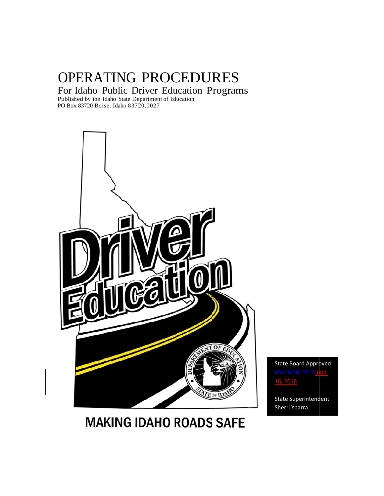# OPERATING PROCEDURES

For r Idaho P Public Dr river Edu ucation P Programs s

Publ PO B Box 83720 Bois se. Idaho 8372 20.0027 lished by the I daho State Dep partment of Ed ducation



State Board Approved March 20, 2014 June 16, 2016

State Superintendent She rri Ybarra

# **MAKING IDAHO ROADS SAFE**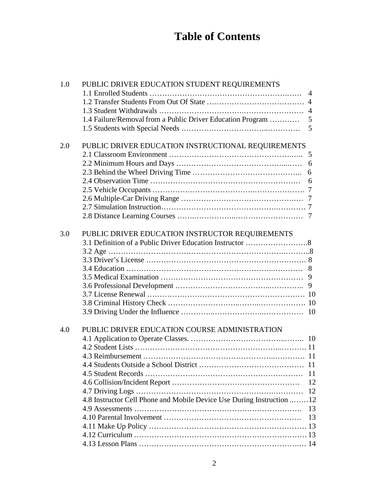# **Table of Contents**

| 1.0 | PUBLIC DRIVER EDUCATION STUDENT REQUIREMENTS                          |                |
|-----|-----------------------------------------------------------------------|----------------|
|     |                                                                       | $\overline{4}$ |
|     |                                                                       |                |
|     |                                                                       |                |
|     | 1.4 Failure/Removal from a Public Driver Education Program            | 5              |
|     |                                                                       | 5              |
|     |                                                                       |                |
| 2.0 | PUBLIC DRIVER EDUCATION INSTRUCTIONAL REQUIREMENTS                    |                |
|     |                                                                       |                |
|     |                                                                       |                |
|     |                                                                       | 6              |
|     |                                                                       | 6              |
|     |                                                                       |                |
|     |                                                                       |                |
|     |                                                                       |                |
|     |                                                                       |                |
|     |                                                                       |                |
| 3.0 | PUBLIC DRIVER EDUCATION INSTRUCTOR REQUIREMENTS                       |                |
|     |                                                                       |                |
|     |                                                                       |                |
|     |                                                                       |                |
|     |                                                                       |                |
|     |                                                                       |                |
|     |                                                                       |                |
|     |                                                                       |                |
|     |                                                                       |                |
|     |                                                                       |                |
|     |                                                                       |                |
| 4.0 | PUBLIC DRIVER EDUCATION COURSE ADMINISTRATION                         |                |
|     |                                                                       |                |
|     |                                                                       |                |
|     |                                                                       |                |
|     |                                                                       | 11             |
|     |                                                                       | 11             |
|     |                                                                       | 12             |
|     |                                                                       | 12             |
|     | 4.8 Instructor Cell Phone and Mobile Device Use During Instruction 12 |                |
|     |                                                                       | 13             |
|     |                                                                       | 13             |
|     |                                                                       |                |
|     |                                                                       |                |
|     |                                                                       |                |
|     |                                                                       |                |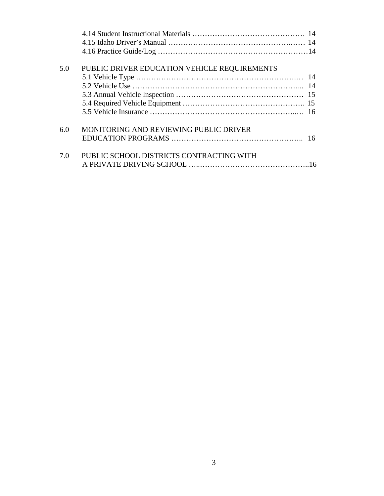| 5.0 | PUBLIC DRIVER EDUCATION VEHICLE REQUIREMENTS |  |
|-----|----------------------------------------------|--|
|     |                                              |  |
|     |                                              |  |
|     |                                              |  |
|     |                                              |  |
|     |                                              |  |
| 6.0 | MONITORING AND REVIEWING PUBLIC DRIVER       |  |
|     |                                              |  |
| 7.0 | PUBLIC SCHOOL DISTRICTS CONTRACTING WITH     |  |
|     |                                              |  |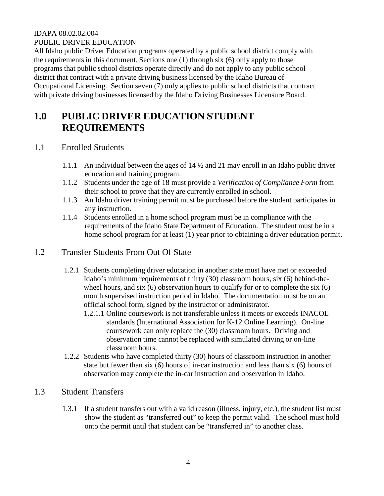#### IDAPA 08.02.02.004 PUBLIC DRIVER EDUCATION

All Idaho public Driver Education programs operated by a public school district comply with the requirements in this document. Sections one (1) through six (6) only apply to those programs that public school districts operate directly and do not apply to any public school district that contract with a private driving business licensed by the Idaho Bureau of Occupational Licensing. Section seven (7) only applies to public school districts that contract with private driving businesses licensed by the Idaho Driving Businesses Licensure Board.

# **1.0 PUBLIC DRIVER EDUCATION STUDENT REQUIREMENTS**

# 1.1 Enrolled Students

- 1.1.1 An individual between the ages of 14 ½ and 21 may enroll in an Idaho public driver education and training program.
- 1.1.2 Students under the age of 18 must provide a *Verification of Compliance Form* from their school to prove that they are currently enrolled in school.
- 1.1.3 An Idaho driver training permit must be purchased before the student participates in any instruction.
- 1.1.4 Students enrolled in a home school program must be in compliance with the requirements of the Idaho State Department of Education. The student must be in a home school program for at least (1) year prior to obtaining a driver education permit.

## 1.2 Transfer Students From Out Of State

- 1.2.1 Students completing driver education in another state must have met or exceeded Idaho's minimum requirements of thirty (30) classroom hours, six (6) behind-thewheel hours, and six (6) observation hours to qualify for or to complete the six (6) month supervised instruction period in Idaho. The documentation must be on an official school form, signed by the instructor or administrator.
	- 1.2.1.1 Online coursework is not transferable unless it meets or exceeds INACOL standards (International Association for K-12 Online Learning). On-line coursework can only replace the (30) classroom hours. Driving and observation time cannot be replaced with simulated driving or on-line classroom hours.
- 1.2.2 Students who have completed thirty (30) hours of classroom instruction in another state but fewer than six (6) hours of in-car instruction and less than six (6) hours of observation may complete the in-car instruction and observation in Idaho.

# 1.3 Student Transfers

1.3.1 If a student transfers out with a valid reason (illness, injury, etc.), the student list must show the student as "transferred out" to keep the permit valid. The school must hold onto the permit until that student can be "transferred in" to another class.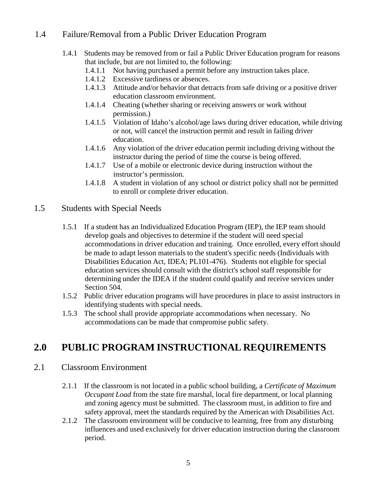# 1.4 Failure/Removal from a Public Driver Education Program

- 1.4.1 Students may be removed from or fail a Public Driver Education program for reasons that include, but are not limited to, the following:
	- 1.4.1.1 Not having purchased a permit before any instruction takes place.
	- 1.4.1.2 Excessive tardiness or absences.
	- 1.4.1.3 Attitude and/or behavior that detracts from safe driving or a positive driver education classroom environment.
	- 1.4.1.4 Cheating (whether sharing or receiving answers or work without permission.)
	- 1.4.1.5 Violation of Idaho's alcohol/age laws during driver education, while driving or not, will cancel the instruction permit and result in failing driver education.
	- 1.4.1.6 Any violation of the driver education permit including driving without the instructor during the period of time the course is being offered.
	- 1.4.1.7 Use of a mobile or electronic device during instruction without the instructor's permission.
	- 1.4.1.8 A student in violation of any school or district policy shall not be permitted to enroll or complete driver education.

#### 1.5 Students with Special Needs

- 1.5.1 If a student has an Individualized Education Program (IEP), the IEP team should develop goals and objectives to determine if the student will need special accommodations in driver education and training. Once enrolled, every effort should be made to adapt lesson materials to the student's specific needs (Individuals with Disabilities Education Act, IDEA; PL101-476). Students not eligible for special education services should consult with the district's school staff responsible for determining under the IDEA if the student could qualify and receive services under Section 504.
- 1.5.2 Public driver education programs will have procedures in place to assist instructors in identifying students with special needs.
- 1.5.3 The school shall provide appropriate accommodations when necessary. No accommodations can be made that compromise public safety.

# **2.0 PUBLIC PROGRAM INSTRUCTIONAL REQUIREMENTS**

#### 2.1 Classroom Environment

- 2.1.1 If the classroom is not located in a public school building, a *Certificate of Maximum Occupant Load* from the state fire marshal, local fire department, or local planning and zoning agency must be submitted. The classroom must, in addition to fire and safety approval, meet the standards required by the American with Disabilities Act.
- 2.1.2 The classroom environment will be conducive to learning, free from any disturbing influences and used exclusively for driver education instruction during the classroom period.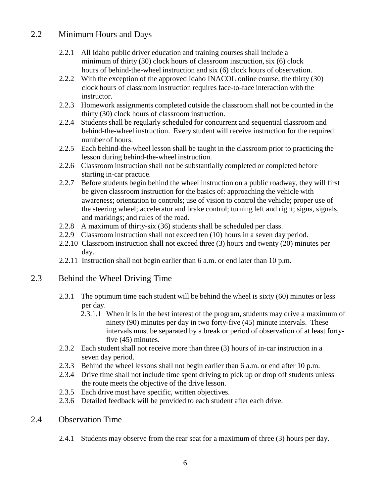# 2.2 Minimum Hours and Days

- 2.2.1 All Idaho public driver education and training courses shall include a minimum of thirty (30) clock hours of classroom instruction, six (6) clock hours of behind-the-wheel instruction and six (6) clock hours of observation.
- 2.2.2 With the exception of the approved Idaho INACOL online course, the thirty (30) clock hours of classroom instruction requires face-to-face interaction with the instructor.
- 2.2.3 Homework assignments completed outside the classroom shall not be counted in the thirty (30) clock hours of classroom instruction.
- 2.2.4 Students shall be regularly scheduled for concurrent and sequential classroom and behind-the-wheel instruction. Every student will receive instruction for the required number of hours.
- 2.2.5 Each behind-the-wheel lesson shall be taught in the classroom prior to practicing the lesson during behind-the-wheel instruction.
- 2.2.6 Classroom instruction shall not be substantially completed or completed before starting in-car practice.
- 2.2.7 Before students begin behind the wheel instruction on a public roadway, they will first be given classroom instruction for the basics of: approaching the vehicle with awareness; orientation to controls; use of vision to control the vehicle; proper use of the steering wheel; accelerator and brake control; turning left and right; signs, signals, and markings; and rules of the road.
- 2.2.8 A maximum of thirty-six (36) students shall be scheduled per class.
- 2.2.9 Classroom instruction shall not exceed ten (10) hours in a seven day period.
- 2.2.10 Classroom instruction shall not exceed three (3) hours and twenty (20) minutes per day.
- 2.2.11 Instruction shall not begin earlier than 6 a.m. or end later than 10 p.m.

# 2.3 Behind the Wheel Driving Time

- 2.3.1 The optimum time each student will be behind the wheel is sixty (60) minutes or less per day.
	- 2.3.1.1 When it is in the best interest of the program, students may drive a maximum of ninety (90) minutes per day in two forty-five (45) minute intervals. These intervals must be separated by a break or period of observation of at least fortyfive (45) minutes.
- 2.3.2 Each student shall not receive more than three (3) hours of in-car instruction in a seven day period.
- 2.3.3 Behind the wheel lessons shall not begin earlier than 6 a.m. or end after 10 p.m.
- 2.3.4 Drive time shall not include time spent driving to pick up or drop off students unless the route meets the objective of the drive lesson.
- 2.3.5 Each drive must have specific, written objectives.
- 2.3.6 Detailed feedback will be provided to each student after each drive.

#### 2.4 Observation Time

2.4.1 Students may observe from the rear seat for a maximum of three (3) hours per day.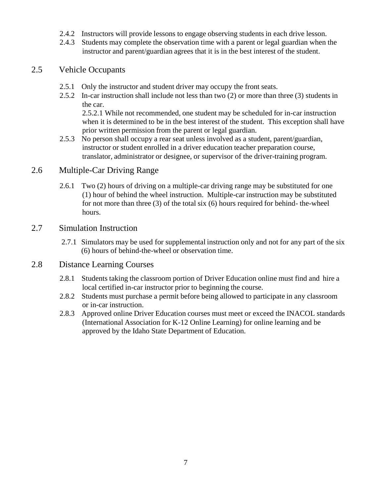- 2.4.2 Instructors will provide lessons to engage observing students in each drive lesson.
- 2.4.3 Students may complete the observation time with a parent or legal guardian when the instructor and parent/guardian agrees that it is in the best interest of the student.

#### 2.5 Vehicle Occupants

- 2.5.1 Only the instructor and student driver may occupy the front seats.
- 2.5.2 In-car instruction shall include not less than two (2) or more than three (3) students in the car.

2.5.2.1 While not recommended, one student may be scheduled for in-car instruction when it is determined to be in the best interest of the student. This exception shall have prior written permission from the parent or legal guardian.

2.5.3 No person shall occupy a rear seat unless involved as a student, parent/guardian, instructor or student enrolled in a driver education teacher preparation course, translator, administrator or designee, or supervisor of the driver-training program.

#### 2.6 Multiple-Car Driving Range

2.6.1 Two (2) hours of driving on a multiple-car driving range may be substituted for one (1) hour of behind the wheel instruction. Multiple-car instruction may be substituted for not more than three (3) of the total six (6) hours required for behind- the-wheel hours.

#### 2.7 Simulation Instruction

2.7.1 Simulators may be used for supplemental instruction only and not for any part of the six (6) hours of behind-the-wheel or observation time.

#### 2.8 Distance Learning Courses

- 2.8.1 Students taking the classroom portion of Driver Education online must find and hire a local certified in-car instructor prior to beginning the course.
- 2.8.2 Students must purchase a permit before being allowed to participate in any classroom or in-car instruction.
- 2.8.3 Approved online Driver Education courses must meet or exceed the INACOL standards (International Association for K-12 Online Learning) for online learning and be approved by the Idaho State Department of Education.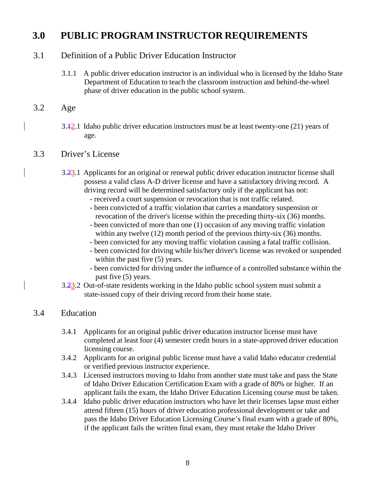# **3.0 PUBLIC PROGRAM INSTRUCTOR REQUIREMENTS**

## 3.1 Definition of a Public Driver Education Instructor

- 3.1.1 A public driver education instructor is an individual who is licensed by the Idaho State Department of Education to teach the classroom instruction and behind-the-wheel phase of driver education in the public school system.
- 3.2 Age
	- 3.12.1 Idaho public driver education instructors must be at least twenty-one (21) years of age.

#### 3.3 Driver's License

- 3.23.1 Applicants for an original or renewal public driver education instructor license shall possess a valid class A-D driver license and have a satisfactory driving record. A driving record will be determined satisfactory only if the applicant has not:
	- received a court suspension or revocation that is not traffic related.
	- been convicted of a traffic violation that carries a mandatory suspension or revocation of the driver's license within the preceding thirty-six (36) months.
	- been convicted of more than one (1) occasion of any moving traffic violation within any twelve (12) month period of the previous thirty-six (36) months.
	- been convicted for any moving traffic violation causing a fatal traffic collision.
	- been convicted for driving while his/her driver's license was revoked or suspended within the past five  $(5)$  years.
	- been convicted for driving under the influence of a controlled substance within the past five (5) years.
- 3.23.2 Out-of-state residents working in the Idaho public school system must submit a state-issued copy of their driving record from their home state.

#### 3.4 Education

- 3.4.1 Applicants for an original public driver education instructor license must have completed at least four (4) semester credit hours in a state-approved driver education licensing course.
- 3.4.2 Applicants for an original public license must have a valid Idaho educator credential or verified previous instructor experience.
- 3.4.3 Licensed instructors moving to Idaho from another state must take and pass the State of Idaho Driver Education Certification Exam with a grade of 80% or higher. If an applicant fails the exam, the Idaho Driver Education Licensing course must be taken.
- 3.4.4 Idaho public driver education instructors who have let their licenses lapse must either attend fifteen (15) hours of driver education professional development or take and pass the Idaho Driver Education Licensing Course's final exam with a grade of 80%, if the applicant fails the written final exam, they must retake the Idaho Driver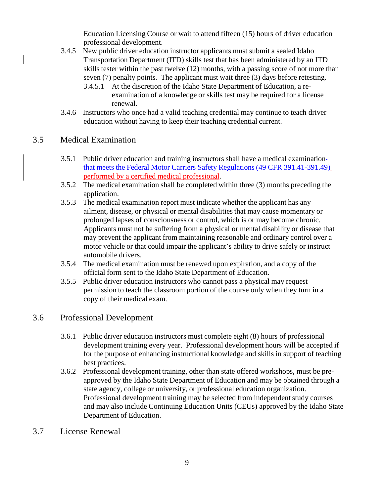Education Licensing Course or wait to attend fifteen (15) hours of driver education professional development.

- 3.4.5 New public driver education instructor applicants must submit a sealed Idaho Transportation Department (ITD) skills test that has been administered by an ITD skills tester within the past twelve (12) months, with a passing score of not more than seven (7) penalty points. The applicant must wait three (3) days before retesting.
	- 3.4.5.1 At the discretion of the Idaho State Department of Education, a reexamination of a knowledge or skills test may be required for a license renewal.
- 3.4.6 Instructors who once had a valid teaching credential may continue to teach driver education without having to keep their teaching credential current.

## 3.5 Medical Examination

- 3.5.1 Public driver education and training instructors shall have a medical examination that meets the Federal Motor Carriers Safety Regulations (49 CFR 391.41-391.49) performed by a certified medical professional.
- 3.5.2 The medical examination shall be completed within three (3) months preceding the application.
- 3.5.3 The medical examination report must indicate whether the applicant has any ailment, disease, or physical or mental disabilities that may cause momentary or prolonged lapses of consciousness or control, which is or may become chronic. Applicants must not be suffering from a physical or mental disability or disease that may prevent the applicant from maintaining reasonable and ordinary control over a motor vehicle or that could impair the applicant's ability to drive safely or instruct automobile drivers.
- 3.5.4 The medical examination must be renewed upon expiration, and a copy of the official form sent to the Idaho State Department of Education.
- 3.5.5 Public driver education instructors who cannot pass a physical may request permission to teach the classroom portion of the course only when they turn in a copy of their medical exam.

#### 3.6 Professional Development

- 3.6.1 Public driver education instructors must complete eight (8) hours of professional development training every year. Professional development hours will be accepted if for the purpose of enhancing instructional knowledge and skills in support of teaching best practices.
- 3.6.2 Professional development training, other than state offered workshops, must be preapproved by the Idaho State Department of Education and may be obtained through a state agency, college or university, or professional education organization. Professional development training may be selected from independent study courses and may also include Continuing Education Units (CEUs) approved by the Idaho State Department of Education.
- 3.7 License Renewal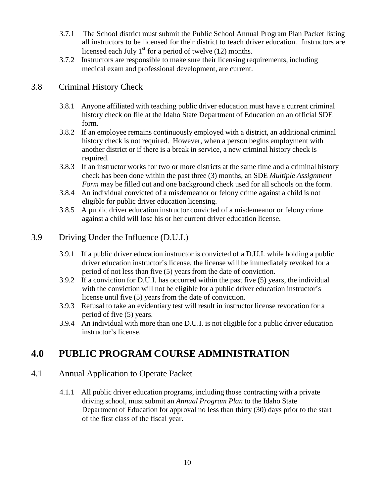- 3.7.1 The School district must submit the Public School Annual Program Plan Packet listing all instructors to be licensed for their district to teach driver education. Instructors are licensed each July  $1<sup>st</sup>$  for a period of twelve (12) months.
- 3.7.2 Instructors are responsible to make sure their licensing requirements, including medical exam and professional development, are current.

# 3.8 Criminal History Check

- 3.8.1 Anyone affiliated with teaching public driver education must have a current criminal history check on file at the Idaho State Department of Education on an official SDE form.
- 3.8.2 If an employee remains continuously employed with a district, an additional criminal history check is not required. However, when a person begins employment with another district or if there is a break in service, a new criminal history check is required.
- 3.8.3 If an instructor works for two or more districts at the same time and a criminal history check has been done within the past three (3) months, an SDE *Multiple Assignment Form* may be filled out and one background check used for all schools on the form.
- 3.8.4 An individual convicted of a misdemeanor or felony crime against a child is not eligible for public driver education licensing.
- 3.8.5 A public driver education instructor convicted of a misdemeanor or felony crime against a child will lose his or her current driver education license.

## 3.9 Driving Under the Influence (D.U.I.)

- 3.9.1 If a public driver education instructor is convicted of a D.U.I. while holding a public driver education instructor's license, the license will be immediately revoked for a period of not less than five (5) years from the date of conviction.
- 3.9.2 If a conviction for D.U.I. has occurred within the past five (5) years, the individual with the conviction will not be eligible for a public driver education instructor's license until five (5) years from the date of conviction.
- 3.9.3 Refusal to take an evidentiary test will result in instructor license revocation for a period of five (5) years.
- 3.9.4 An individual with more than one D.U.I. is not eligible for a public driver education instructor's license.

# **4.0 PUBLIC PROGRAM COURSE ADMINISTRATION**

# 4.1 Annual Application to Operate Packet

4.1.1 All public driver education programs, including those contracting with a private driving school, must submit an *Annual Program Plan* to the Idaho State Department of Education for approval no less than thirty (30) days prior to the start of the first class of the fiscal year.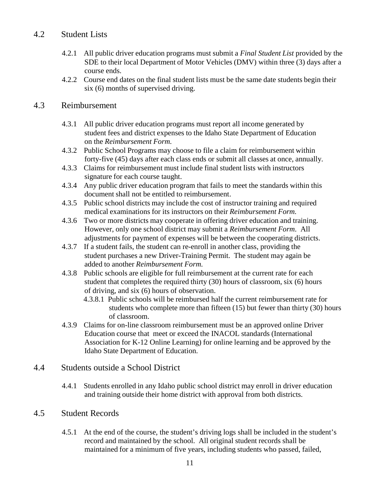# 4.2 Student Lists

- 4.2.1 All public driver education programs must submit a *Final Student List* provided by the SDE to their local Department of Motor Vehicles (DMV) within three (3) days after a course ends.
- 4.2.2 Course end dates on the final student lists must be the same date students begin their six (6) months of supervised driving.

#### 4.3 Reimbursement

- 4.3.1 All public driver education programs must report all income generated by student fees and district expenses to the Idaho State Department of Education on the *Reimbursement Form.*
- 4.3.2 Public School Programs may choose to file a claim for reimbursement within forty-five (45) days after each class ends or submit all classes at once, annually.
- 4.3.3 Claims for reimbursement must include final student lists with instructors signature for each course taught.
- 4.3.4 Any public driver education program that fails to meet the standards within this document shall not be entitled to reimbursement.
- 4.3.5 Public school districts may include the cost of instructor training and required medical examinations for its instructors on their *Reimbursement Form.*
- 4.3.6 Two or more districts may cooperate in offering driver education and training. However, only one school district may submit a *Reimbursement Form*. All adjustments for payment of expenses will be between the cooperating districts.
- 4.3.7 If a student fails, the student can re-enroll in another class, providing the student purchases a new Driver-Training Permit. The student may again be added to another *Reimbursement Form.*
- 4.3.8 Public schools are eligible for full reimbursement at the current rate for each student that completes the required thirty (30) hours of classroom, six (6) hours of driving, and six (6) hours of observation.
	- 4.3.8.1 Public schools will be reimbursed half the current reimbursement rate for students who complete more than fifteen (15) but fewer than thirty (30) hours of classroom.
- 4.3.9 Claims for on-line classroom reimbursement must be an approved online Driver Education course that meet or exceed the INACOL standards (International Association for K-12 Online Learning) for online learning and be approved by the Idaho State Department of Education.

# 4.4 Students outside a School District

4.4.1 Students enrolled in any Idaho public school district may enroll in driver education and training outside their home district with approval from both districts.

# 4.5 Student Records

4.5.1 At the end of the course, the student's driving logs shall be included in the student's record and maintained by the school. All original student records shall be maintained for a minimum of five years, including students who passed, failed,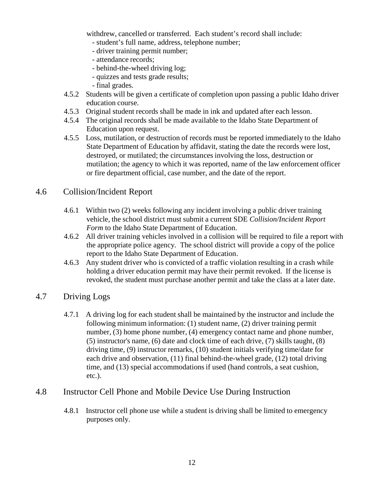withdrew, cancelled or transferred. Each student's record shall include:

- student's full name, address, telephone number;
- driver training permit number;
- attendance records;
- behind-the-wheel driving log;
- quizzes and tests grade results;
- final grades.
- 4.5.2 Students will be given a certificate of completion upon passing a public Idaho driver education course.
- 4.5.3 Original student records shall be made in ink and updated after each lesson.
- 4.5.4 The original records shall be made available to the Idaho State Department of Education upon request.
- 4.5.5 Loss, mutilation, or destruction of records must be reported immediately to the Idaho State Department of Education by affidavit, stating the date the records were lost, destroyed, or mutilated; the circumstances involving the loss, destruction or mutilation; the agency to which it was reported, name of the law enforcement officer or fire department official, case number, and the date of the report.

#### 4.6 Collision/Incident Report

- 4.6.1 Within two (2) weeks following any incident involving a public driver training vehicle, the school district must submit a current SDE *Collision/Incident Report Form* to the Idaho State Department of Education.
- 4.6.2 All driver training vehicles involved in a collision will be required to file a report with the appropriate police agency. The school district will provide a copy of the police report to the Idaho State Department of Education.
- 4.6.3 Any student driver who is convicted of a traffic violation resulting in a crash while holding a driver education permit may have their permit revoked. If the license is revoked, the student must purchase another permit and take the class at a later date.

#### 4.7 Driving Logs

4.7.1 A driving log for each student shall be maintained by the instructor and include the following minimum information: (1) student name, (2) driver training permit number, (3) home phone number, (4) emergency contact name and phone number, (5) instructor's name, (6) date and clock time of each drive, (7) skills taught, (8) driving time, (9) instructor remarks, (10) student initials verifying time/date for each drive and observation, (11) final behind-the-wheel grade, (12) total driving time, and (13) special accommodations if used (hand controls, a seat cushion, etc.).

#### 4.8 Instructor Cell Phone and Mobile Device Use During Instruction

4.8.1 Instructor cell phone use while a student is driving shall be limited to emergency purposes only.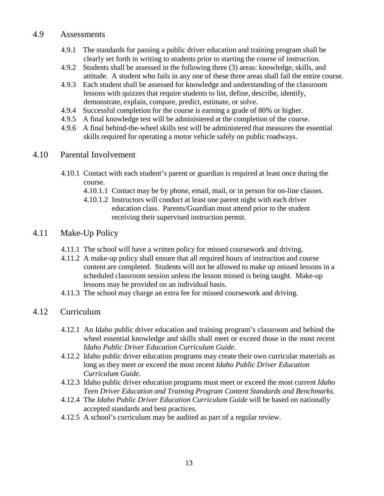#### 4.9 Assessments

- 4.9.1 The standards for passing a public driver education and training program shall be clearly set forth in writing to students prior to starting the course of instruction.
- 4.9.2 Students shall be assessed in the following three (3) areas: knowledge, skills, and attitude. A student who fails in any one of these three areas shall fail the entire course.
- 4.9.3 Each student shall be assessed for knowledge and understanding of the classroom lessons with quizzes that require students to list, define, describe, identify, demonstrate, explain, compare, predict, estimate, or solve.
- 4.9.4 Successful completion for the course is earning a grade of 80% or higher.
- 4.9.5 A final knowledge test will be administered at the completion of the course.
- 4.9.6 A final behind-the-wheel skills test will be administered that measures the essential skills required for operating a motor vehicle safely on public roadways.

# 4.10 Parental Involvement

- 4.10.1 Contact with each student's parent or guardian is required at least once during the course.
	- 4.10.1.1 Contact may be by phone, email, mail, or in person for on-line classes.
	- 4.10.1.2 Instructors will conduct at least one parent night with each driver education class. Parents/Guardian must attend prior to the student receiving their supervised instruction permit.

# 4.11 Make-Up Policy

- 4.11.1 The school will have a written policy for missed coursework and driving.
- 4.11.2 A make-up policy shall ensure that all required hours of instruction and course content are completed. Students will not be allowed to make up missed lessons in a scheduled classroom session unless the lesson missed is being taught. Make-up lessons may be provided on an individual basis.
- 4.11.3 The school may charge an extra fee for missed coursework and driving.

# 4.12 Curriculum

- 4.12.1 An Idaho public driver education and training program's classroom and behind the wheel essential knowledge and skills shall meet or exceed those in the most recent *Idaho Public Driver Education Curriculum Guide*.
- 4.12.2 Idaho public driver education programs may create their own curricular materials as long as they meet or exceed the most recent *Idaho Public Driver Education Curriculum Guide.*
- 4.12.3 Idaho public driver education programs must meet or exceed the most current *Idaho Teen Driver Education and Training Program Content Standards and Benchmarks.*
- 4.12.4 The *Idaho Public Driver Education Curriculum Guide* will be based on nationally accepted standards and best practices.
- 4.12.5 A school's curriculum may be audited as part of a regular review.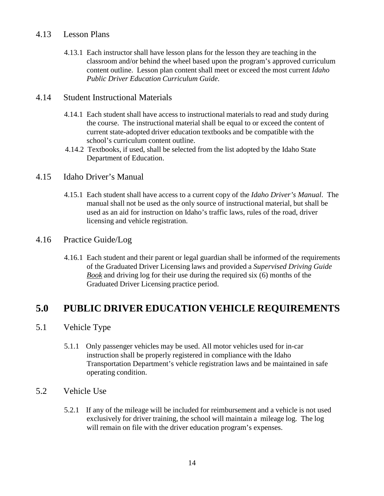#### 4.13 Lesson Plans

4.13.1 Each instructor shall have lesson plans for the lesson they are teaching in the classroom and/or behind the wheel based upon the program's approved curriculum content outline. Lesson plan content shall meet or exceed the most current *Idaho Public Driver Education Curriculum Guide.*

#### 4.14 Student Instructional Materials

- 4.14.1 Each student shall have access to instructional materials to read and study during the course. The instructional material shall be equal to or exceed the content of current state-adopted driver education textbooks and be compatible with the school's curriculum content outline.
- 4.14.2 Textbooks, if used, shall be selected from the list adopted by the Idaho State Department of Education.

## 4.15 Idaho Driver's Manual

4.15.1 Each student shall have access to a current copy of the *Idaho Driver's Manual*. The manual shall not be used as the only source of instructional material, but shall be used as an aid for instruction on Idaho's traffic laws, rules of the road, driver licensing and vehicle registration.

#### 4.16 Practice Guide/Log

4.16.1 Each student and their parent or legal guardian shall be informed of the requirements of the Graduated Driver Licensing laws and provided a *Supervised Driving Guide Book* and driving log for their use during the required six (6) months of the Graduated Driver Licensing practice period.

# **5.0 PUBLIC DRIVER EDUCATION VEHICLE REQUIREMENTS**

#### 5.1 Vehicle Type

5.1.1 Only passenger vehicles may be used. All motor vehicles used for in-car instruction shall be properly registered in compliance with the Idaho Transportation Department's vehicle registration laws and be maintained in safe operating condition.

#### 5.2 Vehicle Use

5.2.1 If any of the mileage will be included for reimbursement and a vehicle is not used exclusively for driver training, the school will maintain a mileage log. The log will remain on file with the driver education program's expenses.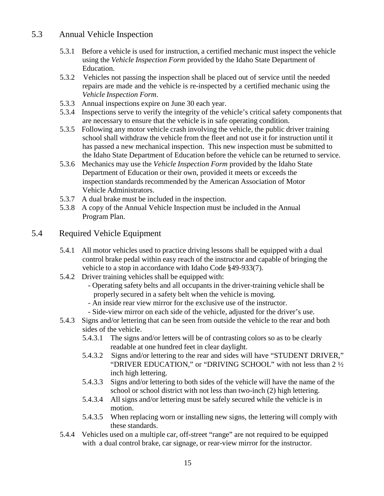## 5.3 Annual Vehicle Inspection

- 5.3.1 Before a vehicle is used for instruction, a certified mechanic must inspect the vehicle using the *Vehicle Inspection Form* provided by the Idaho State Department of Education.
- 5.3.2 Vehicles not passing the inspection shall be placed out of service until the needed repairs are made and the vehicle is re-inspected by a certified mechanic using the *Vehicle Inspection Form*.
- 5.3.3 Annual inspections expire on June 30 each year.
- 5.3.4 Inspections serve to verify the integrity of the vehicle's critical safety components that are necessary to ensure that the vehicle is in safe operating condition.
- 5.3.5 Following any motor vehicle crash involving the vehicle, the public driver training school shall withdraw the vehicle from the fleet and not use it for instruction until it has passed a new mechanical inspection. This new inspection must be submitted to the Idaho State Department of Education before the vehicle can be returned to service.
- 5.3.6 Mechanics may use the *Vehicle Inspection Form* provided by the Idaho State Department of Education or their own, provided it meets or exceeds the inspection standards recommended by the American Association of Motor Vehicle Administrators.
- 5.3.7 A dual brake must be included in the inspection.
- 5.3.8 A copy of the Annual Vehicle Inspection must be included in the Annual Program Plan.

## 5.4 Required Vehicle Equipment

- 5.4.1 All motor vehicles used to practice driving lessons shall be equipped with a dual control brake pedal within easy reach of the instructor and capable of bringing the vehicle to a stop in accordance with Idaho Code §49-933(7).
- 5.4.2 Driver training vehicles shall be equipped with:
	- Operating safety belts and all occupants in the driver-training vehicle shall be properly secured in a safety belt when the vehicle is moving.
	- An inside rear view mirror for the exclusive use of the instructor.
	- Side-view mirror on each side of the vehicle, adjusted for the driver's use.
- 5.4.3 Signs and/or lettering that can be seen from outside the vehicle to the rear and both sides of the vehicle.
	- 5.4.3.1 The signs and/or letters will be of contrasting colors so as to be clearly readable at one hundred feet in clear daylight.
	- 5.4.3.2 Signs and/or lettering to the rear and sides will have "STUDENT DRIVER," "DRIVER EDUCATION," or "DRIVING SCHOOL" with not less than 2 ½ inch high lettering.
	- 5.4.3.3 Signs and/or lettering to both sides of the vehicle will have the name of the school or school district with not less than two-inch (2) high lettering.
	- 5.4.3.4 All signs and/or lettering must be safely secured while the vehicle is in motion.
	- 5.4.3.5 When replacing worn or installing new signs, the lettering will comply with these standards.
- 5.4.4 Vehicles used on a multiple car, off-street "range" are not required to be equipped with a dual control brake, car signage, or rear-view mirror for the instructor.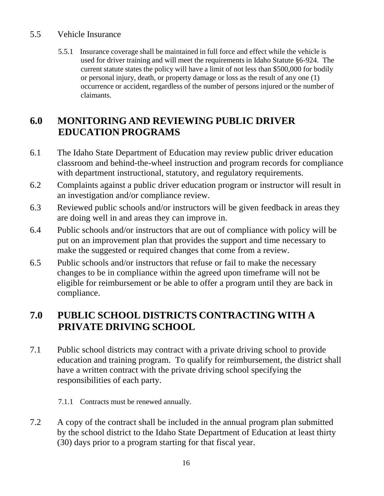# 5.5 Vehicle Insurance

5.5.1 Insurance coverage shall be maintained in full force and effect while the vehicle is used for driver training and will meet the requirements in Idaho Statute §6-924. The current statute states the policy will have a limit of not less than \$500,000 for bodily or personal injury, death, or property damage or loss as the result of any one (1) occurrence or accident, regardless of the number of persons injured or the number of claimants.

# **6.0 MONITORING AND REVIEWING PUBLIC DRIVER EDUCATION PROGRAMS**

- 6.1 The Idaho State Department of Education may review public driver education classroom and behind-the-wheel instruction and program records for compliance with department instructional, statutory, and regulatory requirements.
- 6.2 Complaints against a public driver education program or instructor will result in an investigation and/or compliance review.
- 6.3 Reviewed public schools and/or instructors will be given feedback in areas they are doing well in and areas they can improve in.
- 6.4 Public schools and/or instructors that are out of compliance with policy will be put on an improvement plan that provides the support and time necessary to make the suggested or required changes that come from a review.
- 6.5 Public schools and/or instructors that refuse or fail to make the necessary changes to be in compliance within the agreed upon timeframe will not be eligible for reimbursement or be able to offer a program until they are back in compliance.

# **7.0 PUBLIC SCHOOL DISTRICTS CONTRACTING WITH A PRIVATE DRIVING SCHOOL**

- 7.1 Public school districts may contract with a private driving school to provide education and training program. To qualify for reimbursement, the district shall have a written contract with the private driving school specifying the responsibilities of each party.
	- 7.1.1 Contracts must be renewed annually.
- 7.2 A copy of the contract shall be included in the annual program plan submitted by the school district to the Idaho State Department of Education at least thirty (30) days prior to a program starting for that fiscal year.